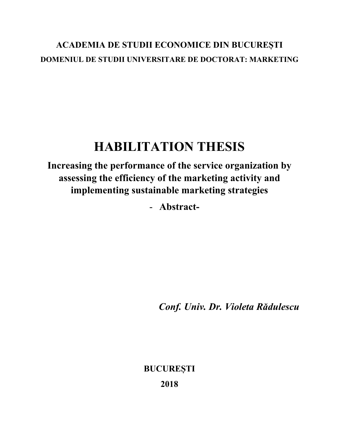## **ACADEMIA DE STUDII ECONOMICE DIN BUCUREȘTI DOMENIUL DE STUDII UNIVERSITARE DE DOCTORAT: MARKETING**

## **HABILITATION THESIS**

**Increasing the performance of the service organization by assessing the efficiency of the marketing activity and implementing sustainable marketing strategies** 

- **Abstract-**

*Conf. Univ. Dr. Violeta Rădulescu* 

**BUCUREȘTI 2018**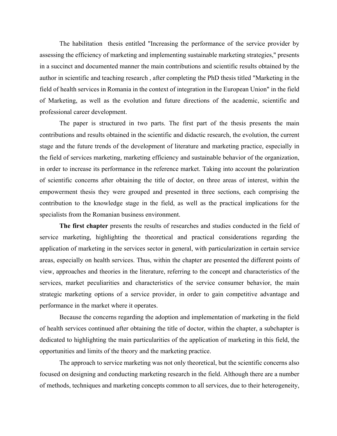The habilitation thesis entitled "Increasing the performance of the service provider by assessing the efficiency of marketing and implementing sustainable marketing strategies," presents in a succinct and documented manner the main contributions and scientific results obtained by the author in scientific and teaching research , after completing the PhD thesis titled "Marketing in the field of health services in Romania in the context of integration in the European Union" in the field of Marketing, as well as the evolution and future directions of the academic, scientific and professional career development.

The paper is structured in two parts. The first part of the thesis presents the main contributions and results obtained in the scientific and didactic research, the evolution, the current stage and the future trends of the development of literature and marketing practice, especially in the field of services marketing, marketing efficiency and sustainable behavior of the organization, in order to increase its performance in the reference market. Taking into account the polarization of scientific concerns after obtaining the title of doctor, on three areas of interest, within the empowerment thesis they were grouped and presented in three sections, each comprising the contribution to the knowledge stage in the field, as well as the practical implications for the specialists from the Romanian business environment.

**The first chapter** presents the results of researches and studies conducted in the field of service marketing, highlighting the theoretical and practical considerations regarding the application of marketing in the services sector in general, with particularization in certain service areas, especially on health services. Thus, within the chapter are presented the different points of view, approaches and theories in the literature, referring to the concept and characteristics of the services, market peculiarities and characteristics of the service consumer behavior, the main strategic marketing options of a service provider, in order to gain competitive advantage and performance in the market where it operates.

Because the concerns regarding the adoption and implementation of marketing in the field of health services continued after obtaining the title of doctor, within the chapter, a subchapter is dedicated to highlighting the main particularities of the application of marketing in this field, the opportunities and limits of the theory and the marketing practice.

The approach to service marketing was not only theoretical, but the scientific concerns also focused on designing and conducting marketing research in the field. Although there are a number of methods, techniques and marketing concepts common to all services, due to their heterogeneity,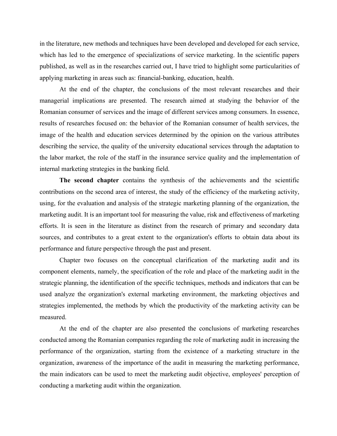in the literature, new methods and techniques have been developed and developed for each service, which has led to the emergence of specializations of service marketing. In the scientific papers published, as well as in the researches carried out, I have tried to highlight some particularities of applying marketing in areas such as: financial-banking, education, health.

At the end of the chapter, the conclusions of the most relevant researches and their managerial implications are presented. The research aimed at studying the behavior of the Romanian consumer of services and the image of different services among consumers. In essence, results of researches focused on: the behavior of the Romanian consumer of health services, the image of the health and education services determined by the opinion on the various attributes describing the service, the quality of the university educational services through the adaptation to the labor market, the role of the staff in the insurance service quality and the implementation of internal marketing strategies in the banking field.

**The second chapter** contains the synthesis of the achievements and the scientific contributions on the second area of interest, the study of the efficiency of the marketing activity, using, for the evaluation and analysis of the strategic marketing planning of the organization, the marketing audit. It is an important tool for measuring the value, risk and effectiveness of marketing efforts. It is seen in the literature as distinct from the research of primary and secondary data sources, and contributes to a great extent to the organization's efforts to obtain data about its performance and future perspective through the past and present.

Chapter two focuses on the conceptual clarification of the marketing audit and its component elements, namely, the specification of the role and place of the marketing audit in the strategic planning, the identification of the specific techniques, methods and indicators that can be used analyze the organization's external marketing environment, the marketing objectives and strategies implemented, the methods by which the productivity of the marketing activity can be measured.

At the end of the chapter are also presented the conclusions of marketing researches conducted among the Romanian companies regarding the role of marketing audit in increasing the performance of the organization, starting from the existence of a marketing structure in the organization, awareness of the importance of the audit in measuring the marketing performance, the main indicators can be used to meet the marketing audit objective, employees' perception of conducting a marketing audit within the organization.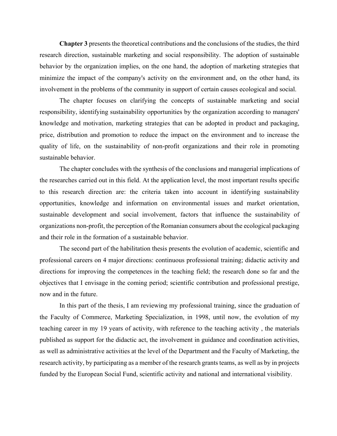**Chapter 3** presents the theoretical contributions and the conclusions of the studies, the third research direction, sustainable marketing and social responsibility. The adoption of sustainable behavior by the organization implies, on the one hand, the adoption of marketing strategies that minimize the impact of the company's activity on the environment and, on the other hand, its involvement in the problems of the community in support of certain causes ecological and social.

The chapter focuses on clarifying the concepts of sustainable marketing and social responsibility, identifying sustainability opportunities by the organization according to managers' knowledge and motivation, marketing strategies that can be adopted in product and packaging, price, distribution and promotion to reduce the impact on the environment and to increase the quality of life, on the sustainability of non-profit organizations and their role in promoting sustainable behavior.

The chapter concludes with the synthesis of the conclusions and managerial implications of the researches carried out in this field. At the application level, the most important results specific to this research direction are: the criteria taken into account in identifying sustainability opportunities, knowledge and information on environmental issues and market orientation, sustainable development and social involvement, factors that influence the sustainability of organizations non-profit, the perception of the Romanian consumers about the ecological packaging and their role in the formation of a sustainable behavior.

The second part of the habilitation thesis presents the evolution of academic, scientific and professional careers on 4 major directions: continuous professional training; didactic activity and directions for improving the competences in the teaching field; the research done so far and the objectives that I envisage in the coming period; scientific contribution and professional prestige, now and in the future.

In this part of the thesis, I am reviewing my professional training, since the graduation of the Faculty of Commerce, Marketing Specialization, in 1998, until now, the evolution of my teaching career in my 19 years of activity, with reference to the teaching activity , the materials published as support for the didactic act, the involvement in guidance and coordination activities, as well as administrative activities at the level of the Department and the Faculty of Marketing, the research activity, by participating as a member of the research grants teams, as well as by in projects funded by the European Social Fund, scientific activity and national and international visibility.